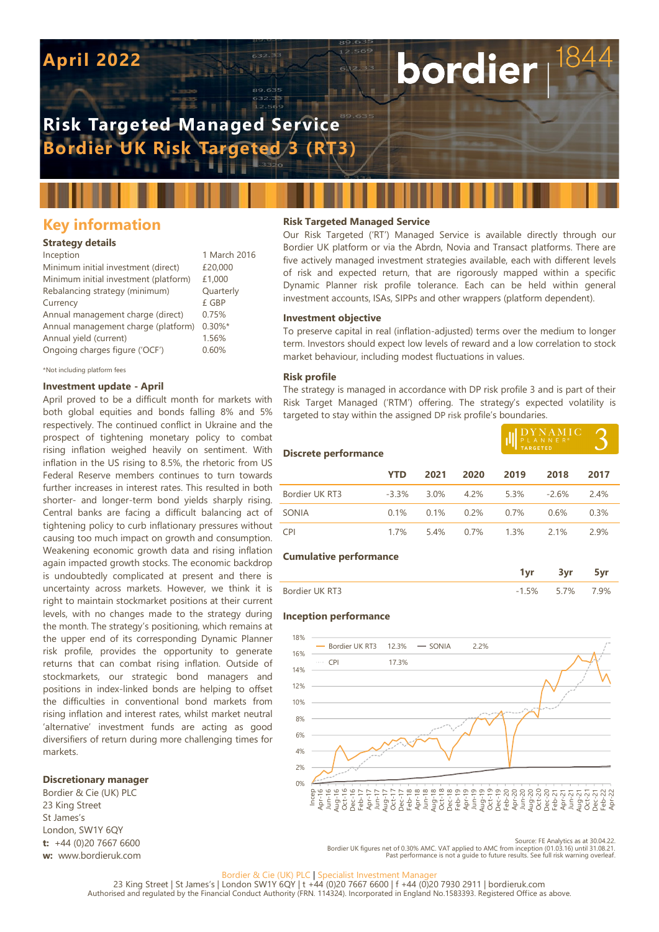# **April 2022**

# **Risk Targeted Managed Service Bordier UK Risk Targeted 3 (RT3)**

# **Key information**

### **Strategy details**

| Inception                             | 1 March 2016 |
|---------------------------------------|--------------|
| Minimum initial investment (direct)   | £20,000      |
| Minimum initial investment (platform) | £1,000       |
| Rebalancing strategy (minimum)        | Quarterly    |
| Currency                              | £ GBP        |
| Annual management charge (direct)     | 0.75%        |
| Annual management charge (platform)   | $0.30\%$ *   |
| Annual yield (current)                | 1.56%        |
| Ongoing charges figure ('OCF')        | 0.60%        |
|                                       |              |

\*Not including platform fees

#### **Investment update - April**

April proved to be a difficult month for markets with both global equities and bonds falling 8% and 5% respectively. The continued conflict in Ukraine and the prospect of tightening monetary policy to combat rising inflation weighed heavily on sentiment. With inflation in the US rising to 8.5%, the rhetoric from US Federal Reserve members continues to turn towards further increases in interest rates. This resulted in both shorter- and longer-term bond yields sharply rising. Central banks are facing a difficult balancing act of tightening policy to curb inflationary pressures without causing too much impact on growth and consumption. Weakening economic growth data and rising inflation again impacted growth stocks. The economic backdrop is undoubtedly complicated at present and there is uncertainty across markets. However, we think it is right to maintain stockmarket positions at their current levels, with no changes made to the strategy during the month. The strategy's positioning, which remains at the upper end of its corresponding Dynamic Planner risk profile, provides the opportunity to generate returns that can combat rising inflation. Outside of stockmarkets, our strategic bond managers and positions in index-linked bonds are helping to offset the difficulties in conventional bond markets from rising inflation and interest rates, whilst market neutral 'alternative' investment funds are acting as good diversifiers of return during more challenging times for markets.

## **Discretionary manager**

Bordier & Cie (UK) PLC 23 King Street St James's London, SW1Y 6QY **t:** +44 (0)20 7667 6600 **w:** www.bordieruk.com

# **Risk Targeted Managed Service**

Our Risk Targeted ('RT') Managed Service is available directly through our Bordier UK platform or via the Abrdn, Novia and Transact platforms. There are five actively managed investment strategies available, each with different levels of risk and expected return, that are rigorously mapped within a specific Dynamic Planner risk profile tolerance. Each can be held within general investment accounts, ISAs, SIPPs and other wrappers (platform dependent).

bordier

#### **Investment objective**

To preserve capital in real (inflation-adjusted) terms over the medium to longer term. Investors should expect low levels of reward and a low correlation to stock market behaviour, including modest fluctuations in values.

#### **Risk profile**

The strategy is managed in accordance with DP risk profile 3 and is part of their Risk Target Managed ('RTM') offering. The strategy's expected volatility is targeted to stay within the assigned DP risk profile's boundaries.

| <b>Discrete performance</b> |            |      |      | <b>TARGETED</b> | DYNAMIC<br>planner <sup>®</sup> |      |
|-----------------------------|------------|------|------|-----------------|---------------------------------|------|
|                             | <b>YTD</b> | 2021 | 2020 | 2019            | 2018                            | 2017 |
| Bordier UK RT3              | $-3.3%$    | 3.0% | 4.2% | 5.3%            | $-2.6%$                         | 2.4% |
| <b>SONIA</b>                | 0.1%       | 0.1% | 0.2% | 0.7%            | 0.6%                            | 0.3% |
| <b>CPI</b>                  | 1.7%       | 5.4% | 0.7% | 1.3%            | 2.1%                            | 2.9% |

#### **Cumulative performance**

| パレーマ<br>◡ | $\sim$ | 7% | 9% |
|-----------|--------|----|----|

#### **Inception performance**



Source: FE Analytics as at 30.04.22. Bordier UK figures net of 0.30% AMC. VAT applied to AMC from inception (01.03.16) until 31.08.21. Past performance is not a guide to future results. See full risk warning overleaf

Bordier & Cie (UK) PLC | Specialist Investment Manage

23 King Street | St James's | London SW1Y 6QY | t +44 (0)20 7667 6600 | f +44 (0)20 7930 2911 | bordieruk.com Authorised and regulated by the Financial Conduct Authority (FRN. 114324). Incorporated in England No.1583393. Registered Office as above.